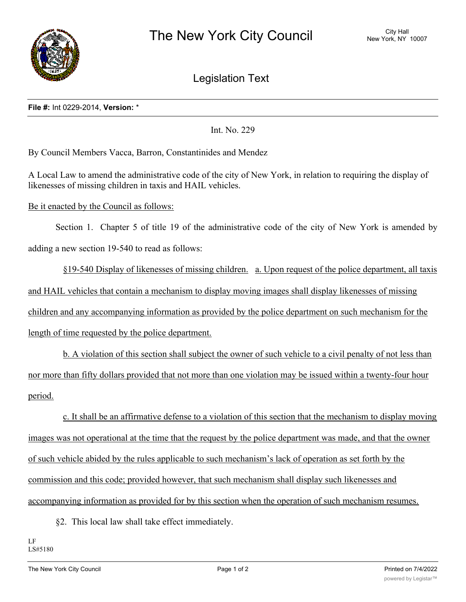

Legislation Text

## **File #:** Int 0229-2014, **Version:** \*

Int. No. 229

By Council Members Vacca, Barron, Constantinides and Mendez

A Local Law to amend the administrative code of the city of New York, in relation to requiring the display of likenesses of missing children in taxis and HAIL vehicles.

## Be it enacted by the Council as follows:

Section 1. Chapter 5 of title 19 of the administrative code of the city of New York is amended by adding a new section 19-540 to read as follows:

§19-540 Display of likenesses of missing children. a. Upon request of the police department, all taxis and HAIL vehicles that contain a mechanism to display moving images shall display likenesses of missing children and any accompanying information as provided by the police department on such mechanism for the length of time requested by the police department.

b. A violation of this section shall subject the owner of such vehicle to a civil penalty of not less than nor more than fifty dollars provided that not more than one violation may be issued within a twenty-four hour period.

c. It shall be an affirmative defense to a violation of this section that the mechanism to display moving images was not operational at the time that the request by the police department was made, and that the owner of such vehicle abided by the rules applicable to such mechanism's lack of operation as set forth by the commission and this code; provided however, that such mechanism shall display such likenesses and accompanying information as provided for by this section when the operation of such mechanism resumes.

§2. This local law shall take effect immediately.